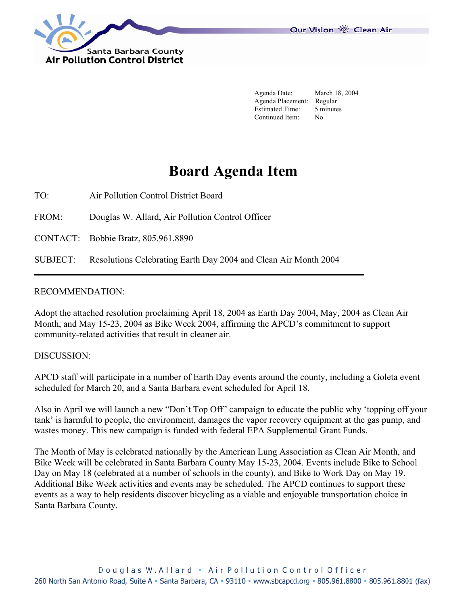Our Vision 卷 Clean Air



 Agenda Date: March 18, 2004 Agenda Placement: Regular Estimated Time: 5 minutes Continued Item: No

# **Board Agenda Item**

TO: Air Pollution Control District Board

FROM: Douglas W. Allard, Air Pollution Control Officer

CONTACT: Bobbie Bratz, 805.961.8890

SUBJECT: Resolutions Celebrating Earth Day 2004 and Clean Air Month 2004

#### RECOMMENDATION:

Adopt the attached resolution proclaiming April 18, 2004 as Earth Day 2004, May, 2004 as Clean Air Month, and May 15-23, 2004 as Bike Week 2004, affirming the APCD's commitment to support community-related activities that result in cleaner air.

#### DISCUSSION:

APCD staff will participate in a number of Earth Day events around the county, including a Goleta event scheduled for March 20, and a Santa Barbara event scheduled for April 18.

Also in April we will launch a new "Don't Top Off" campaign to educate the public why 'topping off your tank' is harmful to people, the environment, damages the vapor recovery equipment at the gas pump, and wastes money. This new campaign is funded with federal EPA Supplemental Grant Funds.

The Month of May is celebrated nationally by the American Lung Association as Clean Air Month, and Bike Week will be celebrated in Santa Barbara County May 15-23, 2004. Events include Bike to School Day on May 18 (celebrated at a number of schools in the county), and Bike to Work Day on May 19. Additional Bike Week activities and events may be scheduled. The APCD continues to support these events as a way to help residents discover bicycling as a viable and enjoyable transportation choice in Santa Barbara County.